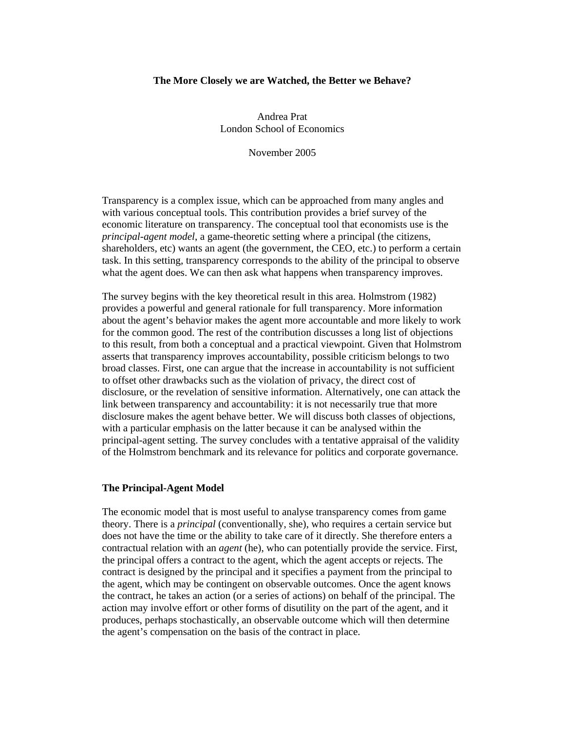### **The More Closely we are Watched, the Better we Behave?**

Andrea Prat London School of Economics

November 2005

Transparency is a complex issue, which can be approached from many angles and with various conceptual tools. This contribution provides a brief survey of the economic literature on transparency. The conceptual tool that economists use is the *principal-agent model*, a game-theoretic setting where a principal (the citizens, shareholders, etc) wants an agent (the government, the CEO, etc.) to perform a certain task. In this setting, transparency corresponds to the ability of the principal to observe what the agent does. We can then ask what happens when transparency improves.

The survey begins with the key theoretical result in this area. Holmstrom (1982) provides a powerful and general rationale for full transparency. More information about the agent's behavior makes the agent more accountable and more likely to work for the common good. The rest of the contribution discusses a long list of objections to this result, from both a conceptual and a practical viewpoint. Given that Holmstrom asserts that transparency improves accountability, possible criticism belongs to two broad classes. First, one can argue that the increase in accountability is not sufficient to offset other drawbacks such as the violation of privacy, the direct cost of disclosure, or the revelation of sensitive information. Alternatively, one can attack the link between transparency and accountability: it is not necessarily true that more disclosure makes the agent behave better. We will discuss both classes of objections, with a particular emphasis on the latter because it can be analysed within the principal-agent setting. The survey concludes with a tentative appraisal of the validity of the Holmstrom benchmark and its relevance for politics and corporate governance.

# **The Principal-Agent Model**

The economic model that is most useful to analyse transparency comes from game theory. There is a *principal* (conventionally, she), who requires a certain service but does not have the time or the ability to take care of it directly. She therefore enters a contractual relation with an *agent* (he), who can potentially provide the service. First, the principal offers a contract to the agent, which the agent accepts or rejects. The contract is designed by the principal and it specifies a payment from the principal to the agent, which may be contingent on observable outcomes. Once the agent knows the contract, he takes an action (or a series of actions) on behalf of the principal. The action may involve effort or other forms of disutility on the part of the agent, and it produces, perhaps stochastically, an observable outcome which will then determine the agent's compensation on the basis of the contract in place.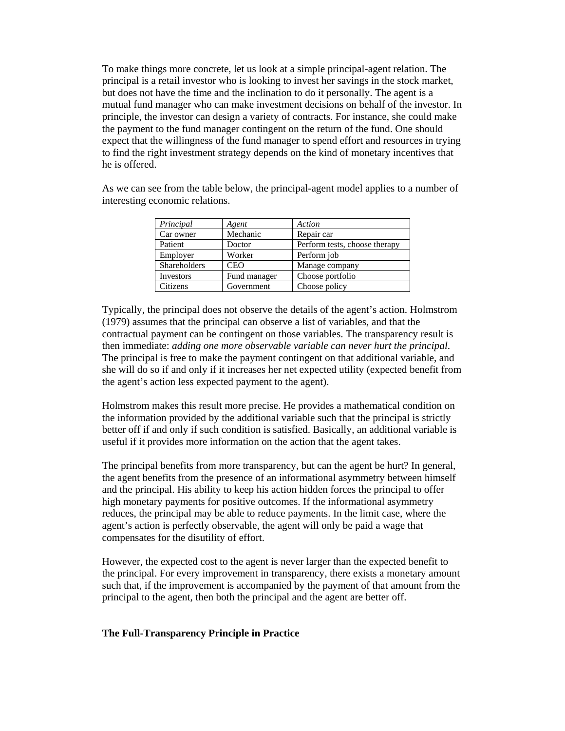To make things more concrete, let us look at a simple principal-agent relation. The principal is a retail investor who is looking to invest her savings in the stock market, but does not have the time and the inclination to do it personally. The agent is a mutual fund manager who can make investment decisions on behalf of the investor. In principle, the investor can design a variety of contracts. For instance, she could make the payment to the fund manager contingent on the return of the fund. One should expect that the willingness of the fund manager to spend effort and resources in trying to find the right investment strategy depends on the kind of monetary incentives that he is offered.

As we can see from the table below, the principal-agent model applies to a number of interesting economic relations.

| Principal           | Agent        | Action                        |
|---------------------|--------------|-------------------------------|
| Car owner           | Mechanic     | Repair car                    |
| Patient             | Doctor       | Perform tests, choose therapy |
| Employer            | Worker       | Perform job                   |
| <b>Shareholders</b> | <b>CEO</b>   | Manage company                |
| Investors           | Fund manager | Choose portfolio              |
| Citizens            | Government   | Choose policy                 |

Typically, the principal does not observe the details of the agent's action. Holmstrom (1979) assumes that the principal can observe a list of variables, and that the contractual payment can be contingent on those variables. The transparency result is then immediate: *adding one more observable variable can never hurt the principal*. The principal is free to make the payment contingent on that additional variable, and she will do so if and only if it increases her net expected utility (expected benefit from the agent's action less expected payment to the agent).

Holmstrom makes this result more precise. He provides a mathematical condition on the information provided by the additional variable such that the principal is strictly better off if and only if such condition is satisfied. Basically, an additional variable is useful if it provides more information on the action that the agent takes.

The principal benefits from more transparency, but can the agent be hurt? In general, the agent benefits from the presence of an informational asymmetry between himself and the principal. His ability to keep his action hidden forces the principal to offer high monetary payments for positive outcomes. If the informational asymmetry reduces, the principal may be able to reduce payments. In the limit case, where the agent's action is perfectly observable, the agent will only be paid a wage that compensates for the disutility of effort.

However, the expected cost to the agent is never larger than the expected benefit to the principal. For every improvement in transparency, there exists a monetary amount such that, if the improvement is accompanied by the payment of that amount from the principal to the agent, then both the principal and the agent are better off.

### **The Full-Transparency Principle in Practice**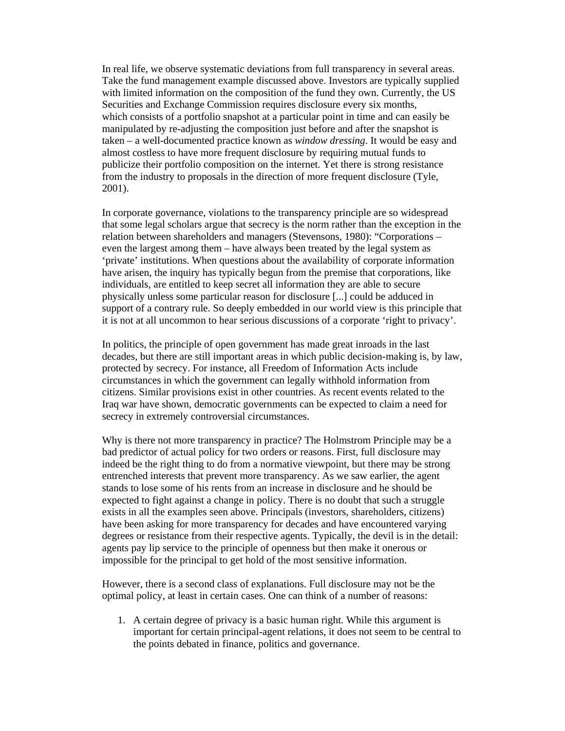In real life, we observe systematic deviations from full transparency in several areas. Take the fund management example discussed above. Investors are typically supplied with limited information on the composition of the fund they own. Currently, the US Securities and Exchange Commission requires disclosure every six months, which consists of a portfolio snapshot at a particular point in time and can easily be manipulated by re-adjusting the composition just before and after the snapshot is taken – a well-documented practice known as *window dressing*. It would be easy and almost costless to have more frequent disclosure by requiring mutual funds to publicize their portfolio composition on the internet. Yet there is strong resistance from the industry to proposals in the direction of more frequent disclosure (Tyle, 2001).

In corporate governance, violations to the transparency principle are so widespread that some legal scholars argue that secrecy is the norm rather than the exception in the relation between shareholders and managers (Stevensons, 1980): "Corporations – even the largest among them – have always been treated by the legal system as 'private' institutions. When questions about the availability of corporate information have arisen, the inquiry has typically begun from the premise that corporations, like individuals, are entitled to keep secret all information they are able to secure physically unless some particular reason for disclosure [...] could be adduced in support of a contrary rule. So deeply embedded in our world view is this principle that it is not at all uncommon to hear serious discussions of a corporate 'right to privacy'.

In politics, the principle of open government has made great inroads in the last decades, but there are still important areas in which public decision-making is, by law, protected by secrecy. For instance, all Freedom of Information Acts include circumstances in which the government can legally withhold information from citizens. Similar provisions exist in other countries. As recent events related to the Iraq war have shown, democratic governments can be expected to claim a need for secrecy in extremely controversial circumstances.

Why is there not more transparency in practice? The Holmstrom Principle may be a bad predictor of actual policy for two orders or reasons. First, full disclosure may indeed be the right thing to do from a normative viewpoint, but there may be strong entrenched interests that prevent more transparency. As we saw earlier, the agent stands to lose some of his rents from an increase in disclosure and he should be expected to fight against a change in policy. There is no doubt that such a struggle exists in all the examples seen above. Principals (investors, shareholders, citizens) have been asking for more transparency for decades and have encountered varying degrees or resistance from their respective agents. Typically, the devil is in the detail: agents pay lip service to the principle of openness but then make it onerous or impossible for the principal to get hold of the most sensitive information.

However, there is a second class of explanations. Full disclosure may not be the optimal policy, at least in certain cases. One can think of a number of reasons:

1. A certain degree of privacy is a basic human right. While this argument is important for certain principal-agent relations, it does not seem to be central to the points debated in finance, politics and governance.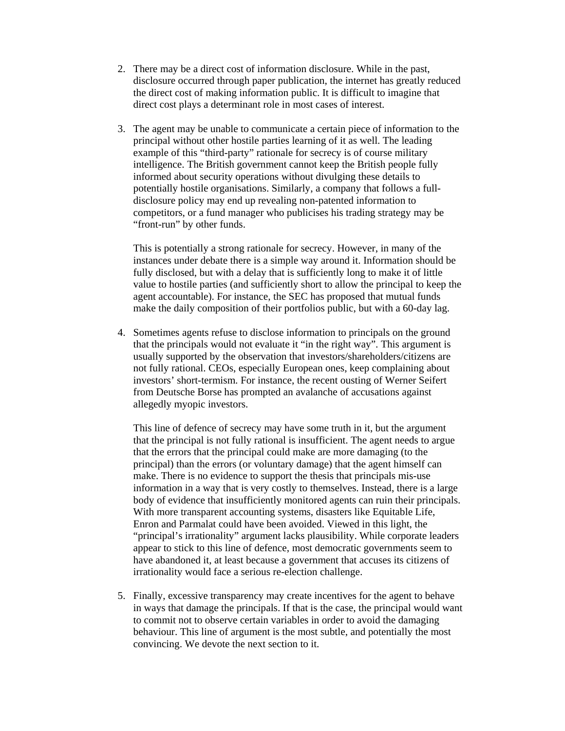- 2. There may be a direct cost of information disclosure. While in the past, disclosure occurred through paper publication, the internet has greatly reduced the direct cost of making information public. It is difficult to imagine that direct cost plays a determinant role in most cases of interest.
- 3. The agent may be unable to communicate a certain piece of information to the principal without other hostile parties learning of it as well. The leading example of this "third-party" rationale for secrecy is of course military intelligence. The British government cannot keep the British people fully informed about security operations without divulging these details to potentially hostile organisations. Similarly, a company that follows a fulldisclosure policy may end up revealing non-patented information to competitors, or a fund manager who publicises his trading strategy may be "front-run" by other funds.

This is potentially a strong rationale for secrecy. However, in many of the instances under debate there is a simple way around it. Information should be fully disclosed, but with a delay that is sufficiently long to make it of little value to hostile parties (and sufficiently short to allow the principal to keep the agent accountable). For instance, the SEC has proposed that mutual funds make the daily composition of their portfolios public, but with a 60-day lag.

4. Sometimes agents refuse to disclose information to principals on the ground that the principals would not evaluate it "in the right way". This argument is usually supported by the observation that investors/shareholders/citizens are not fully rational. CEOs, especially European ones, keep complaining about investors' short-termism. For instance, the recent ousting of Werner Seifert from Deutsche Borse has prompted an avalanche of accusations against allegedly myopic investors.

This line of defence of secrecy may have some truth in it, but the argument that the principal is not fully rational is insufficient. The agent needs to argue that the errors that the principal could make are more damaging (to the principal) than the errors (or voluntary damage) that the agent himself can make. There is no evidence to support the thesis that principals mis-use information in a way that is very costly to themselves. Instead, there is a large body of evidence that insufficiently monitored agents can ruin their principals. With more transparent accounting systems, disasters like Equitable Life, Enron and Parmalat could have been avoided. Viewed in this light, the "principal's irrationality" argument lacks plausibility. While corporate leaders appear to stick to this line of defence, most democratic governments seem to have abandoned it, at least because a government that accuses its citizens of irrationality would face a serious re-election challenge.

5. Finally, excessive transparency may create incentives for the agent to behave in ways that damage the principals. If that is the case, the principal would want to commit not to observe certain variables in order to avoid the damaging behaviour. This line of argument is the most subtle, and potentially the most convincing. We devote the next section to it.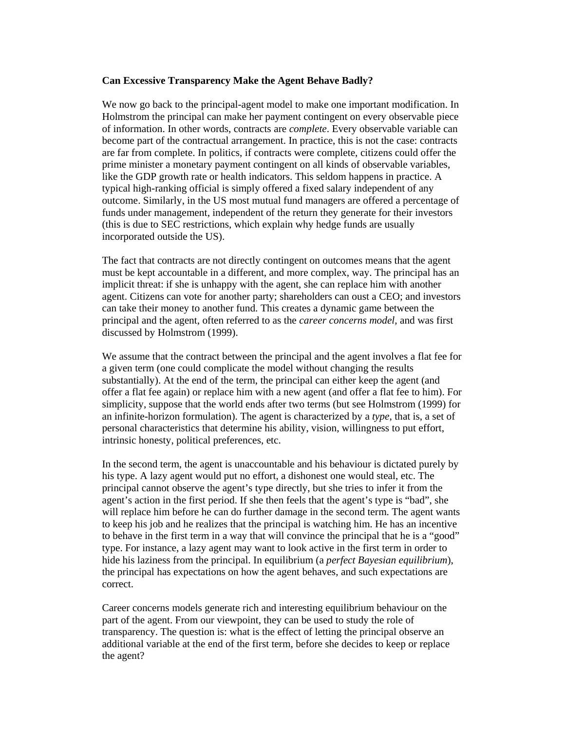# **Can Excessive Transparency Make the Agent Behave Badly?**

We now go back to the principal-agent model to make one important modification. In Holmstrom the principal can make her payment contingent on every observable piece of information. In other words, contracts are *complete*. Every observable variable can become part of the contractual arrangement. In practice, this is not the case: contracts are far from complete. In politics, if contracts were complete, citizens could offer the prime minister a monetary payment contingent on all kinds of observable variables, like the GDP growth rate or health indicators. This seldom happens in practice. A typical high-ranking official is simply offered a fixed salary independent of any outcome. Similarly, in the US most mutual fund managers are offered a percentage of funds under management, independent of the return they generate for their investors (this is due to SEC restrictions, which explain why hedge funds are usually incorporated outside the US).

The fact that contracts are not directly contingent on outcomes means that the agent must be kept accountable in a different, and more complex, way. The principal has an implicit threat: if she is unhappy with the agent, she can replace him with another agent. Citizens can vote for another party; shareholders can oust a CEO; and investors can take their money to another fund. This creates a dynamic game between the principal and the agent, often referred to as the *career concerns model*, and was first discussed by Holmstrom (1999).

We assume that the contract between the principal and the agent involves a flat fee for a given term (one could complicate the model without changing the results substantially). At the end of the term, the principal can either keep the agent (and offer a flat fee again) or replace him with a new agent (and offer a flat fee to him). For simplicity, suppose that the world ends after two terms (but see Holmstrom (1999) for an infinite-horizon formulation). The agent is characterized by a *type*, that is, a set of personal characteristics that determine his ability, vision, willingness to put effort, intrinsic honesty, political preferences, etc.

In the second term, the agent is unaccountable and his behaviour is dictated purely by his type. A lazy agent would put no effort, a dishonest one would steal, etc. The principal cannot observe the agent's type directly, but she tries to infer it from the agent's action in the first period. If she then feels that the agent's type is "bad", she will replace him before he can do further damage in the second term. The agent wants to keep his job and he realizes that the principal is watching him. He has an incentive to behave in the first term in a way that will convince the principal that he is a "good" type. For instance, a lazy agent may want to look active in the first term in order to hide his laziness from the principal. In equilibrium (a *perfect Bayesian equilibrium*), the principal has expectations on how the agent behaves, and such expectations are correct.

Career concerns models generate rich and interesting equilibrium behaviour on the part of the agent. From our viewpoint, they can be used to study the role of transparency. The question is: what is the effect of letting the principal observe an additional variable at the end of the first term, before she decides to keep or replace the agent?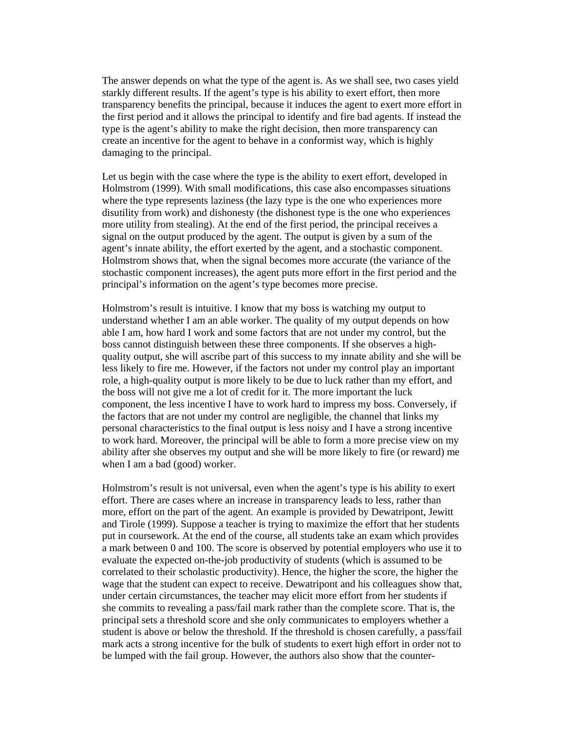The answer depends on what the type of the agent is. As we shall see, two cases yield starkly different results. If the agent's type is his ability to exert effort, then more transparency benefits the principal, because it induces the agent to exert more effort in the first period and it allows the principal to identify and fire bad agents. If instead the type is the agent's ability to make the right decision, then more transparency can create an incentive for the agent to behave in a conformist way, which is highly damaging to the principal.

Let us begin with the case where the type is the ability to exert effort, developed in Holmstrom (1999). With small modifications, this case also encompasses situations where the type represents laziness (the lazy type is the one who experiences more disutility from work) and dishonesty (the dishonest type is the one who experiences more utility from stealing). At the end of the first period, the principal receives a signal on the output produced by the agent. The output is given by a sum of the agent's innate ability, the effort exerted by the agent, and a stochastic component. Holmstrom shows that, when the signal becomes more accurate (the variance of the stochastic component increases), the agent puts more effort in the first period and the principal's information on the agent's type becomes more precise.

Holmstrom's result is intuitive. I know that my boss is watching my output to understand whether I am an able worker. The quality of my output depends on how able I am, how hard I work and some factors that are not under my control, but the boss cannot distinguish between these three components. If she observes a highquality output, she will ascribe part of this success to my innate ability and she will be less likely to fire me. However, if the factors not under my control play an important role, a high-quality output is more likely to be due to luck rather than my effort, and the boss will not give me a lot of credit for it. The more important the luck component, the less incentive I have to work hard to impress my boss. Conversely, if the factors that are not under my control are negligible, the channel that links my personal characteristics to the final output is less noisy and I have a strong incentive to work hard. Moreover, the principal will be able to form a more precise view on my ability after she observes my output and she will be more likely to fire (or reward) me when I am a bad (good) worker.

Holmstrom's result is not universal, even when the agent's type is his ability to exert effort. There are cases where an increase in transparency leads to less, rather than more, effort on the part of the agent. An example is provided by Dewatripont, Jewitt and Tirole (1999). Suppose a teacher is trying to maximize the effort that her students put in coursework. At the end of the course, all students take an exam which provides a mark between 0 and 100. The score is observed by potential employers who use it to evaluate the expected on-the-job productivity of students (which is assumed to be correlated to their scholastic productivity). Hence, the higher the score, the higher the wage that the student can expect to receive. Dewatripont and his colleagues show that, under certain circumstances, the teacher may elicit more effort from her students if she commits to revealing a pass/fail mark rather than the complete score. That is, the principal sets a threshold score and she only communicates to employers whether a student is above or below the threshold. If the threshold is chosen carefully, a pass/fail mark acts a strong incentive for the bulk of students to exert high effort in order not to be lumped with the fail group. However, the authors also show that the counter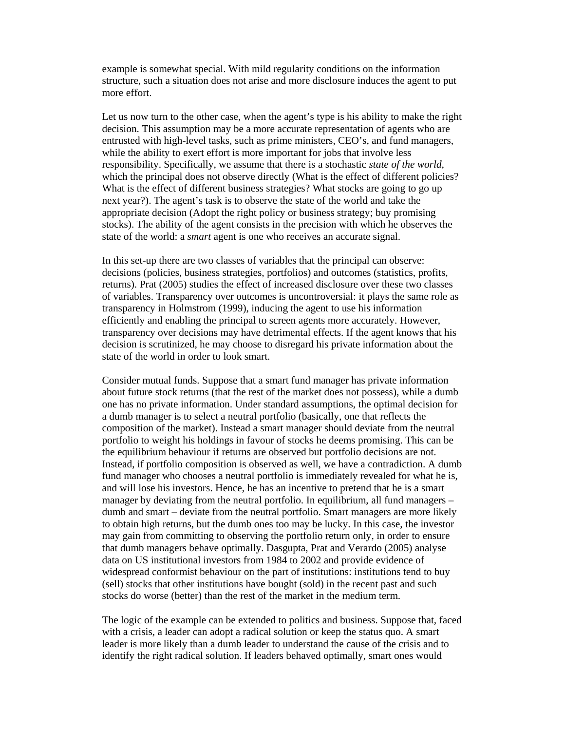example is somewhat special. With mild regularity conditions on the information structure, such a situation does not arise and more disclosure induces the agent to put more effort.

Let us now turn to the other case, when the agent's type is his ability to make the right decision. This assumption may be a more accurate representation of agents who are entrusted with high-level tasks, such as prime ministers, CEO's, and fund managers, while the ability to exert effort is more important for jobs that involve less responsibility. Specifically, we assume that there is a stochastic *state of the world*, which the principal does not observe directly (What is the effect of different policies? What is the effect of different business strategies? What stocks are going to go up next year?). The agent's task is to observe the state of the world and take the appropriate decision (Adopt the right policy or business strategy; buy promising stocks). The ability of the agent consists in the precision with which he observes the state of the world: a *smart* agent is one who receives an accurate signal.

In this set-up there are two classes of variables that the principal can observe: decisions (policies, business strategies, portfolios) and outcomes (statistics, profits, returns). Prat (2005) studies the effect of increased disclosure over these two classes of variables. Transparency over outcomes is uncontroversial: it plays the same role as transparency in Holmstrom (1999), inducing the agent to use his information efficiently and enabling the principal to screen agents more accurately. However, transparency over decisions may have detrimental effects. If the agent knows that his decision is scrutinized, he may choose to disregard his private information about the state of the world in order to look smart.

Consider mutual funds. Suppose that a smart fund manager has private information about future stock returns (that the rest of the market does not possess), while a dumb one has no private information. Under standard assumptions, the optimal decision for a dumb manager is to select a neutral portfolio (basically, one that reflects the composition of the market). Instead a smart manager should deviate from the neutral portfolio to weight his holdings in favour of stocks he deems promising. This can be the equilibrium behaviour if returns are observed but portfolio decisions are not. Instead, if portfolio composition is observed as well, we have a contradiction. A dumb fund manager who chooses a neutral portfolio is immediately revealed for what he is, and will lose his investors. Hence, he has an incentive to pretend that he is a smart manager by deviating from the neutral portfolio. In equilibrium, all fund managers – dumb and smart – deviate from the neutral portfolio. Smart managers are more likely to obtain high returns, but the dumb ones too may be lucky. In this case, the investor may gain from committing to observing the portfolio return only, in order to ensure that dumb managers behave optimally. Dasgupta, Prat and Verardo (2005) analyse data on US institutional investors from 1984 to 2002 and provide evidence of widespread conformist behaviour on the part of institutions: institutions tend to buy (sell) stocks that other institutions have bought (sold) in the recent past and such stocks do worse (better) than the rest of the market in the medium term.

The logic of the example can be extended to politics and business. Suppose that, faced with a crisis, a leader can adopt a radical solution or keep the status quo. A smart leader is more likely than a dumb leader to understand the cause of the crisis and to identify the right radical solution. If leaders behaved optimally, smart ones would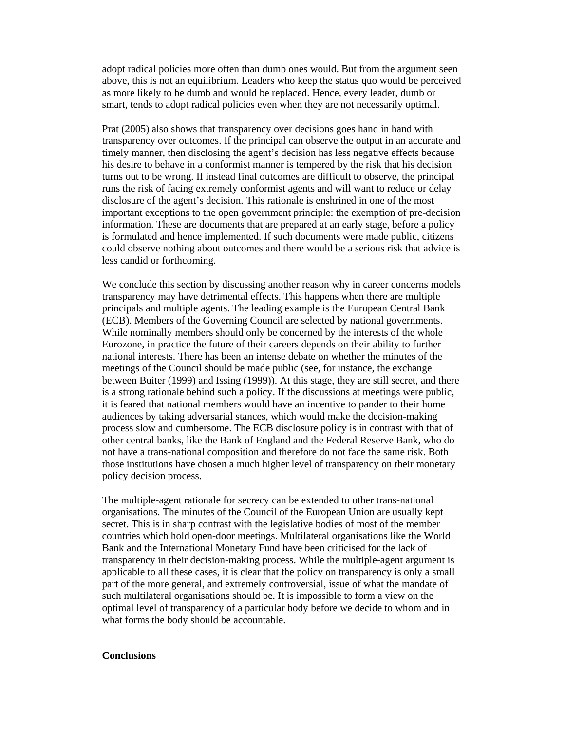adopt radical policies more often than dumb ones would. But from the argument seen above, this is not an equilibrium. Leaders who keep the status quo would be perceived as more likely to be dumb and would be replaced. Hence, every leader, dumb or smart, tends to adopt radical policies even when they are not necessarily optimal.

Prat (2005) also shows that transparency over decisions goes hand in hand with transparency over outcomes. If the principal can observe the output in an accurate and timely manner, then disclosing the agent's decision has less negative effects because his desire to behave in a conformist manner is tempered by the risk that his decision turns out to be wrong. If instead final outcomes are difficult to observe, the principal runs the risk of facing extremely conformist agents and will want to reduce or delay disclosure of the agent's decision. This rationale is enshrined in one of the most important exceptions to the open government principle: the exemption of pre-decision information. These are documents that are prepared at an early stage, before a policy is formulated and hence implemented. If such documents were made public, citizens could observe nothing about outcomes and there would be a serious risk that advice is less candid or forthcoming.

We conclude this section by discussing another reason why in career concerns models transparency may have detrimental effects. This happens when there are multiple principals and multiple agents. The leading example is the European Central Bank (ECB). Members of the Governing Council are selected by national governments. While nominally members should only be concerned by the interests of the whole Eurozone, in practice the future of their careers depends on their ability to further national interests. There has been an intense debate on whether the minutes of the meetings of the Council should be made public (see, for instance, the exchange between Buiter (1999) and Issing (1999)). At this stage, they are still secret, and there is a strong rationale behind such a policy. If the discussions at meetings were public, it is feared that national members would have an incentive to pander to their home audiences by taking adversarial stances, which would make the decision-making process slow and cumbersome. The ECB disclosure policy is in contrast with that of other central banks, like the Bank of England and the Federal Reserve Bank, who do not have a trans-national composition and therefore do not face the same risk. Both those institutions have chosen a much higher level of transparency on their monetary policy decision process.

The multiple-agent rationale for secrecy can be extended to other trans-national organisations. The minutes of the Council of the European Union are usually kept secret. This is in sharp contrast with the legislative bodies of most of the member countries which hold open-door meetings. Multilateral organisations like the World Bank and the International Monetary Fund have been criticised for the lack of transparency in their decision-making process. While the multiple-agent argument is applicable to all these cases, it is clear that the policy on transparency is only a small part of the more general, and extremely controversial, issue of what the mandate of such multilateral organisations should be. It is impossible to form a view on the optimal level of transparency of a particular body before we decide to whom and in what forms the body should be accountable.

### **Conclusions**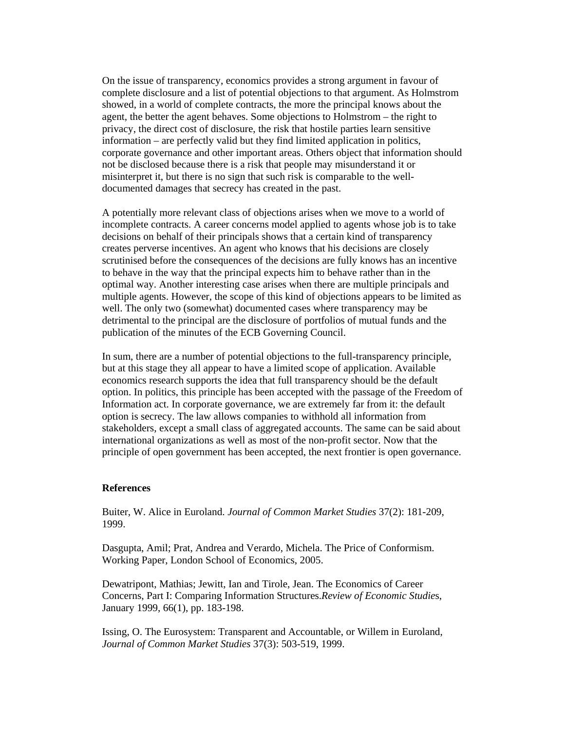On the issue of transparency, economics provides a strong argument in favour of complete disclosure and a list of potential objections to that argument. As Holmstrom showed, in a world of complete contracts, the more the principal knows about the agent, the better the agent behaves. Some objections to Holmstrom – the right to privacy, the direct cost of disclosure, the risk that hostile parties learn sensitive information – are perfectly valid but they find limited application in politics, corporate governance and other important areas. Others object that information should not be disclosed because there is a risk that people may misunderstand it or misinterpret it, but there is no sign that such risk is comparable to the welldocumented damages that secrecy has created in the past.

A potentially more relevant class of objections arises when we move to a world of incomplete contracts. A career concerns model applied to agents whose job is to take decisions on behalf of their principals shows that a certain kind of transparency creates perverse incentives. An agent who knows that his decisions are closely scrutinised before the consequences of the decisions are fully knows has an incentive to behave in the way that the principal expects him to behave rather than in the optimal way. Another interesting case arises when there are multiple principals and multiple agents. However, the scope of this kind of objections appears to be limited as well. The only two (somewhat) documented cases where transparency may be detrimental to the principal are the disclosure of portfolios of mutual funds and the publication of the minutes of the ECB Governing Council.

In sum, there are a number of potential objections to the full-transparency principle, but at this stage they all appear to have a limited scope of application. Available economics research supports the idea that full transparency should be the default option. In politics, this principle has been accepted with the passage of the Freedom of Information act. In corporate governance, we are extremely far from it: the default option is secrecy. The law allows companies to withhold all information from stakeholders, except a small class of aggregated accounts. The same can be said about international organizations as well as most of the non-profit sector. Now that the principle of open government has been accepted, the next frontier is open governance.

### **References**

Buiter, W. Alice in Euroland. *Journal of Common Market Studies* 37(2): 181-209, 1999.

Dasgupta, Amil; Prat, Andrea and Verardo, Michela. The Price of Conformism. Working Paper, London School of Economics, 2005.

Dewatripont, Mathias; Jewitt, Ian and Tirole, Jean. The Economics of Career Concerns, Part I: Comparing Information Structures.*Review of Economic Studie*s, January 1999, 66(1), pp. 183-198.

Issing, O. The Eurosystem: Transparent and Accountable, or Willem in Euroland, *Journal of Common Market Studies* 37(3): 503-519, 1999.